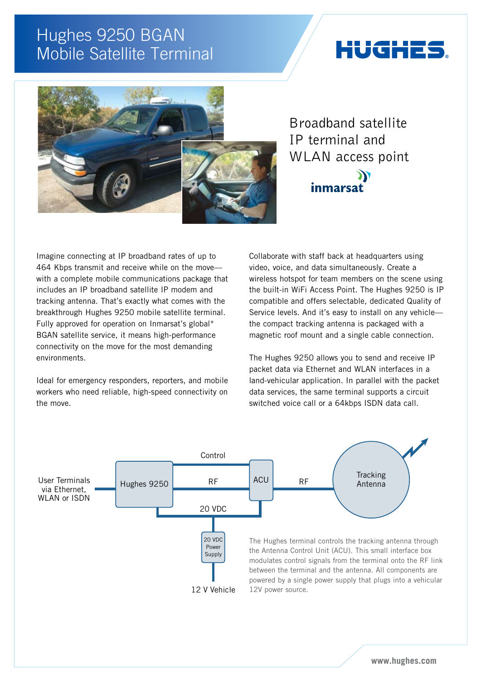## Hughes 9250 BGAN Mobile Satellite Terminal

# iUGHE:



Broadband satellite IP terminal and WLAN access point

inmarsa

Ж

Imagine connecting at IP broadband rates of up to 464 Kbps transmit and receive while on the move with a complete mobile communications package that includes an IP broadband satellite IP modem and tracking antenna. That's exactly what comes with the breakthrough Hughes 9250 mobile satellite terminal. Fully approved for operation on Inmarsat's global\* BGAN satellite service, it means high-performance connectivity on the move for the most demanding environments.

Ideal for emergency responders, reporters, and mobile workers who need reliable, high-speed connectivity on the move.

Collaborate with staff back at headquarters using video, voice, and data simultaneously. Create a wireless hotspot for team members on the scene using the built-in WiFi Access Point. The Hughes 9250 is IP compatible and offers selectable, dedicated Quality of Service levels. And it's easy to install on any vehicle the compact tracking antenna is packaged with a magnetic roof mount and a single cable connection.

The Hughes 9250 allows you to send and receive IP packet data via Ethernet and WLAN interfaces in a land-vehicular application. In parallel with the packet data services, the same terminal supports a circuit switched voice call or a 64kbps ISDN data call.